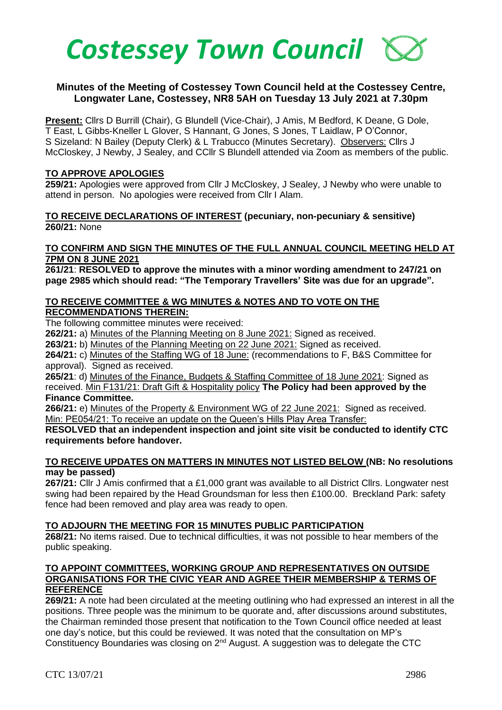

# **Minutes of the Meeting of Costessey Town Council held at the Costessey Centre, Longwater Lane, Costessey, NR8 5AH on Tuesday 13 July 2021 at 7.30pm**

**Present:** Cllrs D Burrill (Chair), G Blundell (Vice-Chair), J Amis, M Bedford, K Deane, G Dole, T East, L Gibbs-Kneller L Glover, S Hannant, G Jones, S Jones, T Laidlaw, P O'Connor, S Sizeland: N Bailey (Deputy Clerk) & L Trabucco (Minutes Secretary). Observers: Cllrs J McCloskey, J Newby, J Sealey, and CCllr S Blundell attended via Zoom as members of the public.

#### **TO APPROVE APOLOGIES**

**259/21:** Apologies were approved from Cllr J McCloskey, J Sealey, J Newby who were unable to attend in person. No apologies were received from Cllr I Alam.

### **TO RECEIVE DECLARATIONS OF INTEREST (pecuniary, non-pecuniary & sensitive) 260/21:** None

#### **TO CONFIRM AND SIGN THE MINUTES OF THE FULL ANNUAL COUNCIL MEETING HELD AT 7PM ON 8 JUNE 2021**

**261/21**: **RESOLVED to approve the minutes with a minor wording amendment to 247/21 on page 2985 which should read: "The Temporary Travellers' Site was due for an upgrade".** 

### **TO RECEIVE COMMITTEE & WG MINUTES & NOTES AND TO VOTE ON THE RECOMMENDATIONS THEREIN:**

The following committee minutes were received:

**262/21:** a) Minutes of the Planning Meeting on 8 June 2021: Signed as received.

**263/21:** b) Minutes of the Planning Meeting on 22 June 2021: Signed as received.

**264/21:** c) Minutes of the Staffing WG of 18 June: (recommendations to F, B&S Committee for approval). Signed as received.

**265/21**: d) Minutes of the Finance, Budgets & Staffing Committee of 18 June 2021: Signed as received. Min F131/21: Draft Gift & Hospitality policy **The Policy had been approved by the**

#### **Finance Committee.**

**266/21:** e) Minutes of the Property & Environment WG of 22 June 2021: Signed as received. Min: PE054/21: To receive an update on the Queen's Hills Play Area Transfer:

# **RESOLVED that an independent inspection and joint site visit be conducted to identify CTC requirements before handover.**

# **TO RECEIVE UPDATES ON MATTERS IN MINUTES NOT LISTED BELOW (NB: No resolutions may be passed)**

**267/21:** Cllr J Amis confirmed that a £1,000 grant was available to all District Cllrs. Longwater nest swing had been repaired by the Head Groundsman for less then £100.00. Breckland Park: safety fence had been removed and play area was ready to open.

#### **TO ADJOURN THE MEETING FOR 15 MINUTES PUBLIC PARTICIPATION**

**268/21:** No items raised. Due to technical difficulties, it was not possible to hear members of the public speaking.

### **TO APPOINT COMMITTEES, WORKING GROUP AND REPRESENTATIVES ON OUTSIDE ORGANISATIONS FOR THE CIVIC YEAR AND AGREE THEIR MEMBERSHIP & TERMS OF REFERENCE**

**269/21:** A note had been circulated at the meeting outlining who had expressed an interest in all the positions. Three people was the minimum to be quorate and, after discussions around substitutes, the Chairman reminded those present that notification to the Town Council office needed at least one day's notice, but this could be reviewed. It was noted that the consultation on MP's Constituency Boundaries was closing on 2nd August. A suggestion was to delegate the CTC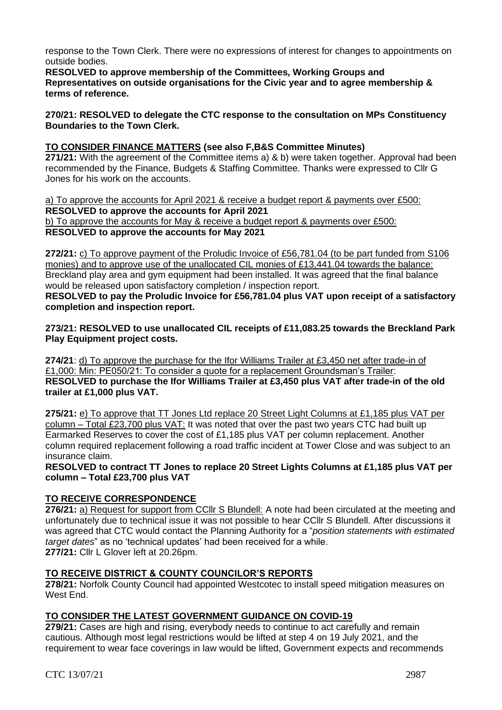response to the Town Clerk. There were no expressions of interest for changes to appointments on outside bodies.

**RESOLVED to approve membership of the Committees, Working Groups and Representatives on outside organisations for the Civic year and to agree membership & terms of reference.** 

**270/21: RESOLVED to delegate the CTC response to the consultation on MPs Constituency Boundaries to the Town Clerk.** 

**TO CONSIDER FINANCE MATTERS (see also F,B&S Committee Minutes)**

**271/21:** With the agreement of the Committee items a) & b) were taken together. Approval had been recommended by the Finance, Budgets & Staffing Committee. Thanks were expressed to Cllr G Jones for his work on the accounts.

a) To approve the accounts for April 2021 & receive a budget report & payments over £500: **RESOLVED to approve the accounts for April 2021** b) To approve the accounts for May & receive a budget report & payments over £500: **RESOLVED to approve the accounts for May 2021**

**272/21:** c) To approve payment of the Proludic Invoice of £56,781.04 (to be part funded from S106 monies) and to approve use of the unallocated CIL monies of £13,441.04 towards the balance: Breckland play area and gym equipment had been installed. It was agreed that the final balance would be released upon satisfactory completion / inspection report.

**RESOLVED to pay the Proludic Invoice for £56,781.04 plus VAT upon receipt of a satisfactory completion and inspection report.**

**273/21: RESOLVED to use unallocated CIL receipts of £11,083.25 towards the Breckland Park Play Equipment project costs.** 

**274/21**: d) To approve the purchase for the Ifor Williams Trailer at £3,450 net after trade-in of £1,000: Min: PE050/21: To consider a quote for a replacement Groundsman's Trailer: **RESOLVED to purchase the Ifor Williams Trailer at £3,450 plus VAT after trade-in of the old trailer at £1,000 plus VAT.**

**275/21:** e) To approve that TT Jones Ltd replace 20 Street Light Columns at £1,185 plus VAT per column – Total £23,700 plus VAT: It was noted that over the past two years CTC had built up Earmarked Reserves to cover the cost of £1,185 plus VAT per column replacement. Another column required replacement following a road traffic incident at Tower Close and was subject to an insurance claim.

**RESOLVED to contract TT Jones to replace 20 Street Lights Columns at £1,185 plus VAT per column – Total £23,700 plus VAT**

# **TO RECEIVE CORRESPONDENCE**

276/21: a) Request for support from CCIIr S Blundell: A note had been circulated at the meeting and unfortunately due to technical issue it was not possible to hear CCllr S Blundell. After discussions it was agreed that CTC would contact the Planning Authority for a "*position statements with estimated target dates*" as no 'technical updates' had been received for a while. **277/21:** Cllr L Glover left at 20.26pm.

# **TO RECEIVE DISTRICT & COUNTY COUNCILOR'S REPORTS**

**278/21:** Norfolk County Council had appointed Westcotec to install speed mitigation measures on West End.

# **TO CONSIDER THE LATEST GOVERNMENT GUIDANCE ON COVID-19**

**279/21:** Cases are high and rising, everybody needs to continue to act carefully and remain cautious. Although most legal restrictions would be lifted at step 4 on 19 July 2021, and the requirement to wear face coverings in law would be lifted, Government expects and recommends